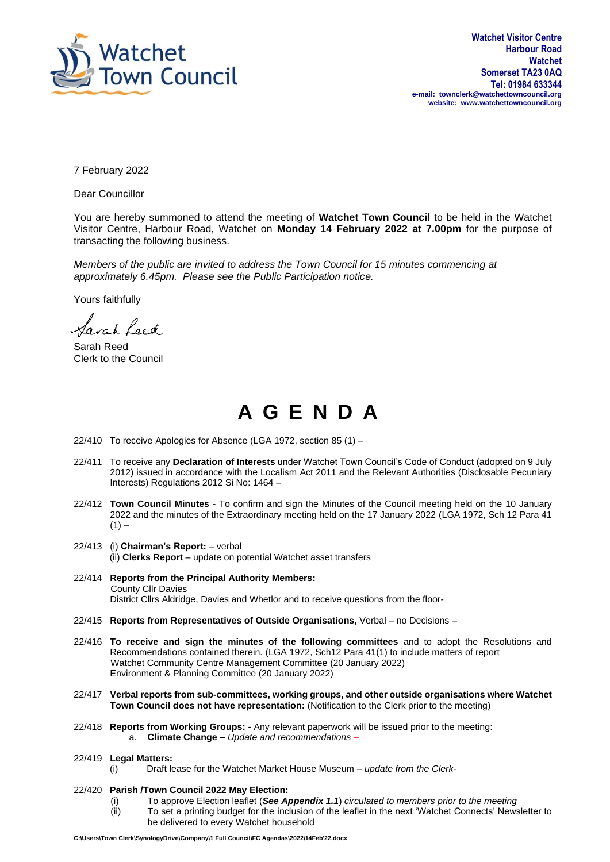

7 February 2022

Dear Councillor

You are hereby summoned to attend the meeting of **Watchet Town Council** to be held in the Watchet Visitor Centre, Harbour Road, Watchet on **Monday 14 February 2022 at 7.00pm** for the purpose of transacting the following business.

*Members of the public are invited to address the Town Council for 15 minutes commencing at approximately 6.45pm. Please see the Public Participation notice.*

Yours faithfully

Sarah Leed

Sarah Reed Clerk to the Council

## **A G E N D A**

- 22/410 To receive Apologies for Absence (LGA 1972, section 85 (1) –
- 22/411 To receive any **Declaration of Interests** under Watchet Town Council's Code of Conduct (adopted on 9 July 2012) issued in accordance with the Localism Act 2011 and the Relevant Authorities (Disclosable Pecuniary Interests) Regulations 2012 Si No: 1464 –
- 22/412 **Town Council Minutes** To confirm and sign the Minutes of the Council meeting held on the 10 January 2022 and the minutes of the Extraordinary meeting held on the 17 January 2022 (LGA 1972, Sch 12 Para 41  $(1) -$
- 22/413 (i) **Chairman's Report:** verbal (ii) **Clerks Report** – update on potential Watchet asset transfers
- 22/414 **Reports from the Principal Authority Members:** County Cllr Davies District Cllrs Aldridge, Davies and Whetlor and to receive questions from the floor-
- 22/415 **Reports from Representatives of Outside Organisations,** Verbal no Decisions –
- 22/416 **To receive and sign the minutes of the following committees** and to adopt the Resolutions and Recommendations contained therein. (LGA 1972, Sch12 Para 41(1) to include matters of report Watchet Community Centre Management Committee (20 January 2022) Environment & Planning Committee (20 January 2022)
- 22/417 **Verbal reports from sub-committees, working groups, and other outside organisations where Watchet Town Council does not have representation:** (Notification to the Clerk prior to the meeting)
- 22/418 **Reports from Working Groups: -** Any relevant paperwork will be issued prior to the meeting: a. **Climate Change –** *Update and recommendations –*
- 22/419 **Legal Matters:**
	- (i) Draft lease for the Watchet Market House Museum *update from the Clerk-*
- 22/420 **Parish /Town Council 2022 May Election:**
	- (i) To approve Election leaflet (*See Appendix 1.1*) *circulated to members prior to the meeting*
	- (ii) To set a printing budget for the inclusion of the leaflet in the next 'Watchet Connects' Newsletter to be delivered to every Watchet household